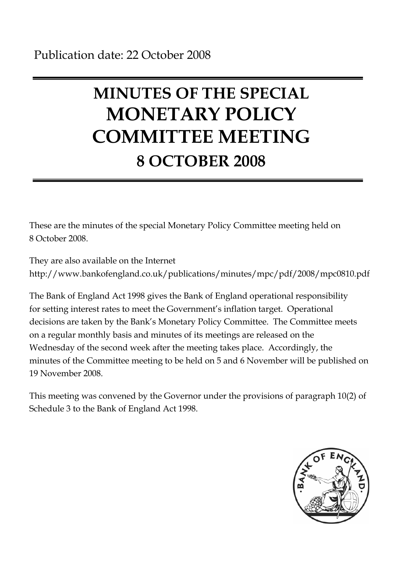# **MINUTES OF THE SPECIAL MONETARY POLICY COMMITTEE MEETING 8 OCTOBER 2008**

These are the minutes of the special Monetary Policy Committee meeting held on 8 October 2008.

They are also available on the Internet http://www.bankofengland.co.uk/publications/minutes/mpc/pdf/2008/mpc0810.pdf

The Bank of England Act 1998 gives the Bank of England operational responsibility for setting interest rates to meet the Government's inflation target. Operational decisions are taken by the Bank's Monetary Policy Committee. The Committee meets on a regular monthly basis and minutes of its meetings are released on the Wednesday of the second week after the meeting takes place. Accordingly, the minutes of the Committee meeting to be held on 5 and 6 November will be published on 19 November 2008.

This meeting was convened by the Governor under the provisions of paragraph 10(2) of Schedule 3 to the Bank of England Act 1998.

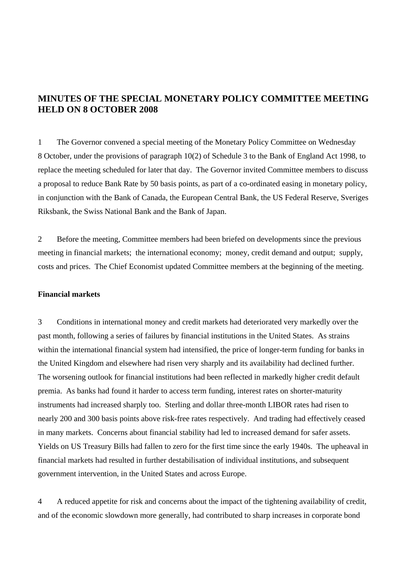# **MINUTES OF THE SPECIAL MONETARY POLICY COMMITTEE MEETING HELD ON 8 OCTOBER 2008**

1 The Governor convened a special meeting of the Monetary Policy Committee on Wednesday 8 October, under the provisions of paragraph 10(2) of Schedule 3 to the Bank of England Act 1998, to replace the meeting scheduled for later that day. The Governor invited Committee members to discuss a proposal to reduce Bank Rate by 50 basis points, as part of a co-ordinated easing in monetary policy, in conjunction with the Bank of Canada, the European Central Bank, the US Federal Reserve, Sveriges Riksbank, the Swiss National Bank and the Bank of Japan.

2 Before the meeting, Committee members had been briefed on developments since the previous meeting in financial markets; the international economy; money, credit demand and output; supply, costs and prices. The Chief Economist updated Committee members at the beginning of the meeting.

# **Financial markets**

3 Conditions in international money and credit markets had deteriorated very markedly over the past month, following a series of failures by financial institutions in the United States. As strains within the international financial system had intensified, the price of longer-term funding for banks in the United Kingdom and elsewhere had risen very sharply and its availability had declined further. The worsening outlook for financial institutions had been reflected in markedly higher credit default premia. As banks had found it harder to access term funding, interest rates on shorter-maturity instruments had increased sharply too. Sterling and dollar three-month LIBOR rates had risen to nearly 200 and 300 basis points above risk-free rates respectively. And trading had effectively ceased in many markets. Concerns about financial stability had led to increased demand for safer assets. Yields on US Treasury Bills had fallen to zero for the first time since the early 1940s. The upheaval in financial markets had resulted in further destabilisation of individual institutions, and subsequent government intervention, in the United States and across Europe.

4 A reduced appetite for risk and concerns about the impact of the tightening availability of credit, and of the economic slowdown more generally, had contributed to sharp increases in corporate bond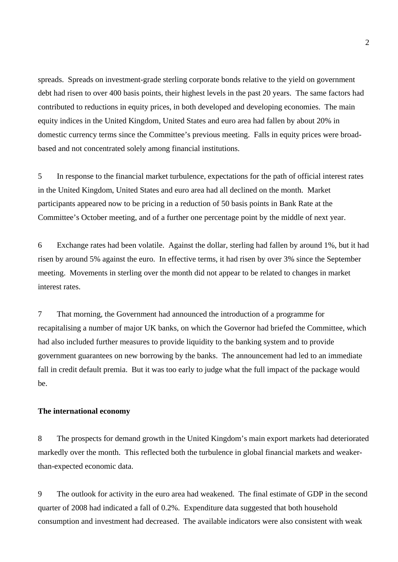spreads. Spreads on investment-grade sterling corporate bonds relative to the yield on government debt had risen to over 400 basis points, their highest levels in the past 20 years. The same factors had contributed to reductions in equity prices, in both developed and developing economies. The main equity indices in the United Kingdom, United States and euro area had fallen by about 20% in domestic currency terms since the Committee's previous meeting. Falls in equity prices were broadbased and not concentrated solely among financial institutions.

5 In response to the financial market turbulence, expectations for the path of official interest rates in the United Kingdom, United States and euro area had all declined on the month. Market participants appeared now to be pricing in a reduction of 50 basis points in Bank Rate at the Committee's October meeting, and of a further one percentage point by the middle of next year.

6 Exchange rates had been volatile. Against the dollar, sterling had fallen by around 1%, but it had risen by around 5% against the euro. In effective terms, it had risen by over 3% since the September meeting. Movements in sterling over the month did not appear to be related to changes in market interest rates.

7 That morning, the Government had announced the introduction of a programme for recapitalising a number of major UK banks, on which the Governor had briefed the Committee, which had also included further measures to provide liquidity to the banking system and to provide government guarantees on new borrowing by the banks. The announcement had led to an immediate fall in credit default premia. But it was too early to judge what the full impact of the package would be.

# **The international economy**

8 The prospects for demand growth in the United Kingdom's main export markets had deteriorated markedly over the month. This reflected both the turbulence in global financial markets and weakerthan-expected economic data.

9 The outlook for activity in the euro area had weakened. The final estimate of GDP in the second quarter of 2008 had indicated a fall of 0.2%. Expenditure data suggested that both household consumption and investment had decreased. The available indicators were also consistent with weak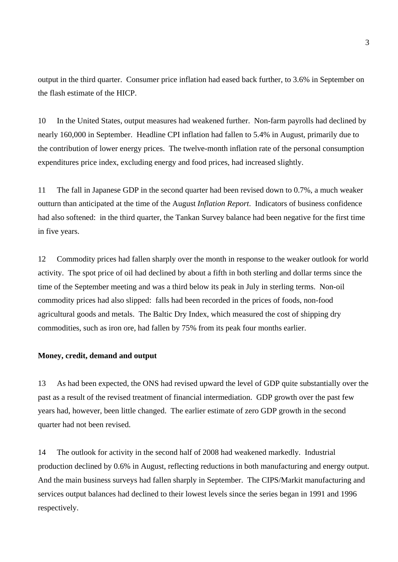output in the third quarter. Consumer price inflation had eased back further, to 3.6% in September on the flash estimate of the HICP.

10 In the United States, output measures had weakened further. Non-farm payrolls had declined by nearly 160,000 in September. Headline CPI inflation had fallen to 5.4% in August, primarily due to the contribution of lower energy prices. The twelve-month inflation rate of the personal consumption expenditures price index, excluding energy and food prices, had increased slightly.

11 The fall in Japanese GDP in the second quarter had been revised down to 0.7%, a much weaker outturn than anticipated at the time of the August *Inflation Report*. Indicators of business confidence had also softened: in the third quarter, the Tankan Survey balance had been negative for the first time in five years.

12 Commodity prices had fallen sharply over the month in response to the weaker outlook for world activity. The spot price of oil had declined by about a fifth in both sterling and dollar terms since the time of the September meeting and was a third below its peak in July in sterling terms. Non-oil commodity prices had also slipped: falls had been recorded in the prices of foods, non-food agricultural goods and metals. The Baltic Dry Index, which measured the cost of shipping dry commodities, such as iron ore, had fallen by 75% from its peak four months earlier.

### **Money, credit, demand and output**

13 As had been expected, the ONS had revised upward the level of GDP quite substantially over the past as a result of the revised treatment of financial intermediation. GDP growth over the past few years had, however, been little changed. The earlier estimate of zero GDP growth in the second quarter had not been revised.

14 The outlook for activity in the second half of 2008 had weakened markedly. Industrial production declined by 0.6% in August, reflecting reductions in both manufacturing and energy output. And the main business surveys had fallen sharply in September. The CIPS/Markit manufacturing and services output balances had declined to their lowest levels since the series began in 1991 and 1996 respectively.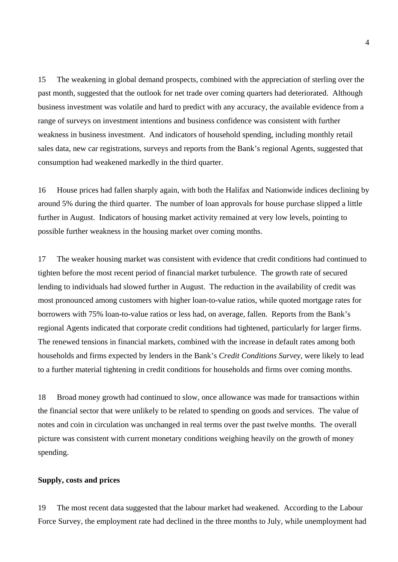15 The weakening in global demand prospects, combined with the appreciation of sterling over the past month, suggested that the outlook for net trade over coming quarters had deteriorated. Although business investment was volatile and hard to predict with any accuracy, the available evidence from a range of surveys on investment intentions and business confidence was consistent with further weakness in business investment. And indicators of household spending, including monthly retail sales data, new car registrations, surveys and reports from the Bank's regional Agents, suggested that consumption had weakened markedly in the third quarter.

16 House prices had fallen sharply again, with both the Halifax and Nationwide indices declining by around 5% during the third quarter. The number of loan approvals for house purchase slipped a little further in August. Indicators of housing market activity remained at very low levels, pointing to possible further weakness in the housing market over coming months.

17 The weaker housing market was consistent with evidence that credit conditions had continued to tighten before the most recent period of financial market turbulence. The growth rate of secured lending to individuals had slowed further in August. The reduction in the availability of credit was most pronounced among customers with higher loan-to-value ratios, while quoted mortgage rates for borrowers with 75% loan-to-value ratios or less had, on average, fallen. Reports from the Bank's regional Agents indicated that corporate credit conditions had tightened, particularly for larger firms. The renewed tensions in financial markets, combined with the increase in default rates among both households and firms expected by lenders in the Bank's *Credit Conditions Survey*, were likely to lead to a further material tightening in credit conditions for households and firms over coming months.

18 Broad money growth had continued to slow, once allowance was made for transactions within the financial sector that were unlikely to be related to spending on goods and services. The value of notes and coin in circulation was unchanged in real terms over the past twelve months. The overall picture was consistent with current monetary conditions weighing heavily on the growth of money spending.

#### **Supply, costs and prices**

19 The most recent data suggested that the labour market had weakened. According to the Labour Force Survey, the employment rate had declined in the three months to July, while unemployment had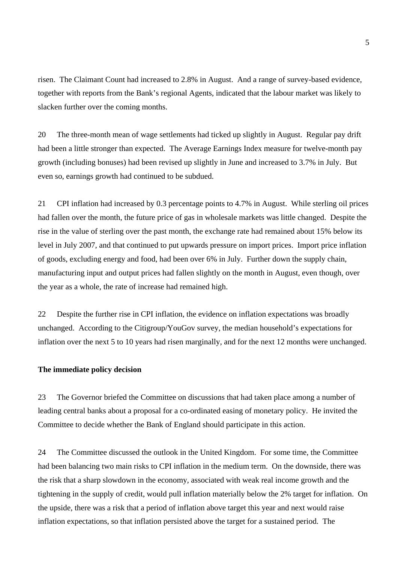risen. The Claimant Count had increased to 2.8% in August. And a range of survey-based evidence, together with reports from the Bank's regional Agents, indicated that the labour market was likely to slacken further over the coming months.

20 The three-month mean of wage settlements had ticked up slightly in August. Regular pay drift had been a little stronger than expected. The Average Earnings Index measure for twelve-month pay growth (including bonuses) had been revised up slightly in June and increased to 3.7% in July. But even so, earnings growth had continued to be subdued.

21 CPI inflation had increased by 0.3 percentage points to 4.7% in August. While sterling oil prices had fallen over the month, the future price of gas in wholesale markets was little changed. Despite the rise in the value of sterling over the past month, the exchange rate had remained about 15% below its level in July 2007, and that continued to put upwards pressure on import prices. Import price inflation of goods, excluding energy and food, had been over 6% in July. Further down the supply chain, manufacturing input and output prices had fallen slightly on the month in August, even though, over the year as a whole, the rate of increase had remained high.

22 Despite the further rise in CPI inflation, the evidence on inflation expectations was broadly unchanged. According to the Citigroup/YouGov survey, the median household's expectations for inflation over the next 5 to 10 years had risen marginally, and for the next 12 months were unchanged.

### **The immediate policy decision**

23 The Governor briefed the Committee on discussions that had taken place among a number of leading central banks about a proposal for a co-ordinated easing of monetary policy. He invited the Committee to decide whether the Bank of England should participate in this action.

24 The Committee discussed the outlook in the United Kingdom. For some time, the Committee had been balancing two main risks to CPI inflation in the medium term. On the downside, there was the risk that a sharp slowdown in the economy, associated with weak real income growth and the tightening in the supply of credit, would pull inflation materially below the 2% target for inflation. On the upside, there was a risk that a period of inflation above target this year and next would raise inflation expectations, so that inflation persisted above the target for a sustained period. The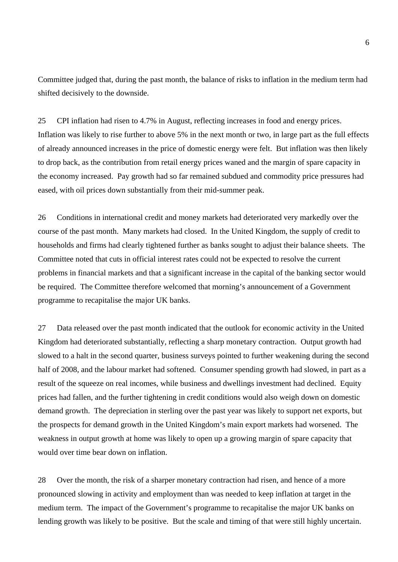Committee judged that, during the past month, the balance of risks to inflation in the medium term had shifted decisively to the downside.

25 CPI inflation had risen to 4.7% in August, reflecting increases in food and energy prices. Inflation was likely to rise further to above 5% in the next month or two, in large part as the full effects of already announced increases in the price of domestic energy were felt. But inflation was then likely to drop back, as the contribution from retail energy prices waned and the margin of spare capacity in the economy increased. Pay growth had so far remained subdued and commodity price pressures had eased, with oil prices down substantially from their mid-summer peak.

26 Conditions in international credit and money markets had deteriorated very markedly over the course of the past month. Many markets had closed. In the United Kingdom, the supply of credit to households and firms had clearly tightened further as banks sought to adjust their balance sheets. The Committee noted that cuts in official interest rates could not be expected to resolve the current problems in financial markets and that a significant increase in the capital of the banking sector would be required. The Committee therefore welcomed that morning's announcement of a Government programme to recapitalise the major UK banks.

27 Data released over the past month indicated that the outlook for economic activity in the United Kingdom had deteriorated substantially, reflecting a sharp monetary contraction. Output growth had slowed to a halt in the second quarter, business surveys pointed to further weakening during the second half of 2008, and the labour market had softened. Consumer spending growth had slowed, in part as a result of the squeeze on real incomes, while business and dwellings investment had declined. Equity prices had fallen, and the further tightening in credit conditions would also weigh down on domestic demand growth. The depreciation in sterling over the past year was likely to support net exports, but the prospects for demand growth in the United Kingdom's main export markets had worsened. The weakness in output growth at home was likely to open up a growing margin of spare capacity that would over time bear down on inflation.

28 Over the month, the risk of a sharper monetary contraction had risen, and hence of a more pronounced slowing in activity and employment than was needed to keep inflation at target in the medium term. The impact of the Government's programme to recapitalise the major UK banks on lending growth was likely to be positive. But the scale and timing of that were still highly uncertain.